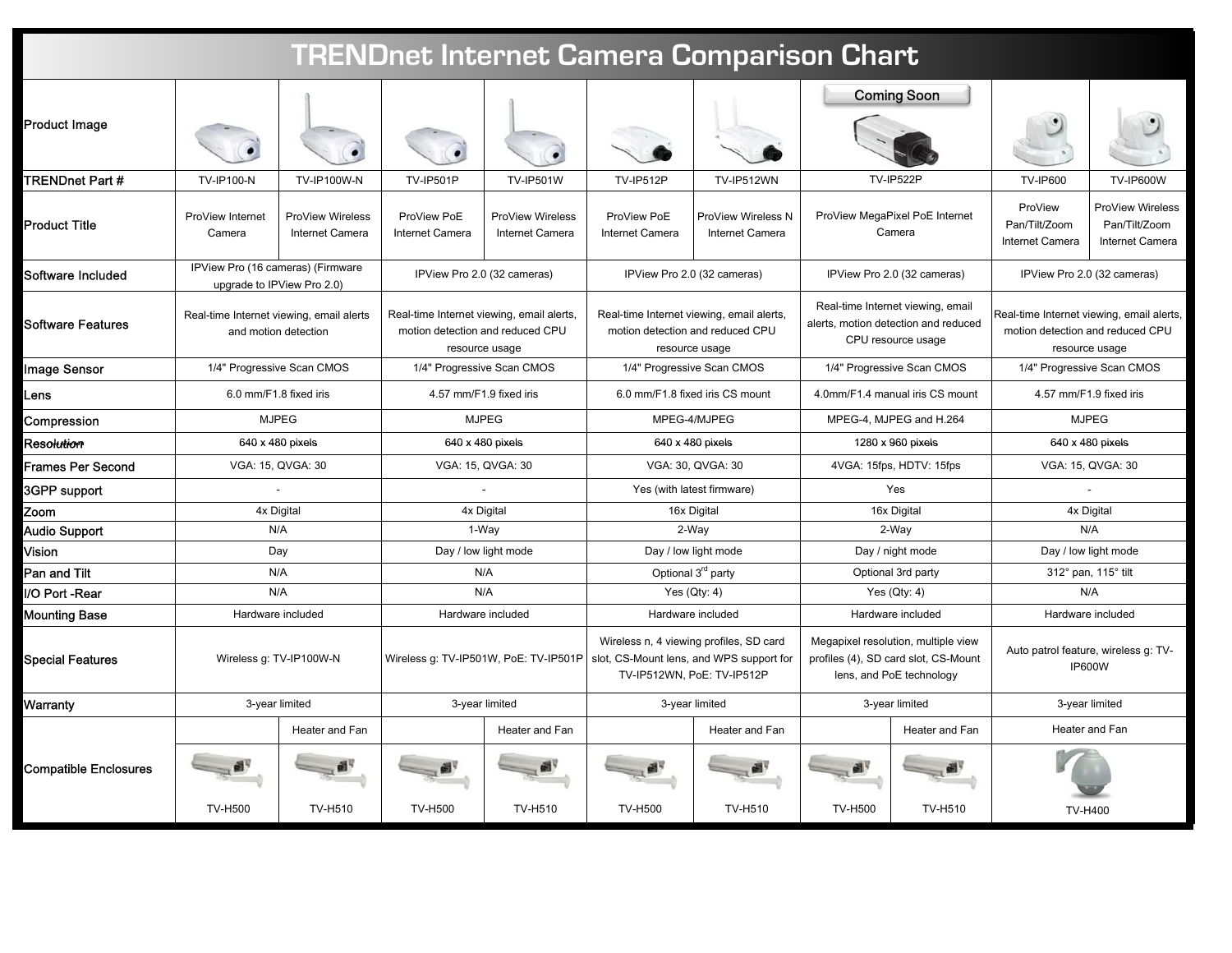| <b>TRENDnet Internet Camera Comparison Chart</b> |                                                                  |                                     |                                                                                                 |                                            |                                                                                                                   |                                       |                                                                                                         |                                          |                                                                                                 |                                                             |
|--------------------------------------------------|------------------------------------------------------------------|-------------------------------------|-------------------------------------------------------------------------------------------------|--------------------------------------------|-------------------------------------------------------------------------------------------------------------------|---------------------------------------|---------------------------------------------------------------------------------------------------------|------------------------------------------|-------------------------------------------------------------------------------------------------|-------------------------------------------------------------|
| <b>Product Image</b>                             |                                                                  |                                     |                                                                                                 |                                            |                                                                                                                   |                                       |                                                                                                         | <b>Coming Soon</b>                       |                                                                                                 |                                                             |
| TRENDnet Part #                                  | <b>TV-IP100-N</b>                                                | <b>TV-IP100W-N</b>                  | <b>TV-IP501P</b>                                                                                | <b>TV-IP501W</b>                           | <b>TV-IP512P</b>                                                                                                  | TV-IP512WN                            |                                                                                                         | <b>TV-IP522P</b>                         | <b>TV-IP600</b>                                                                                 | <b>TV-IP600W</b>                                            |
| <b>Product Title</b>                             | ProView Internet<br>Camera                                       | ProView Wireless<br>Internet Camera | ProView PoE<br>Internet Camera                                                                  | <b>ProView Wireless</b><br>Internet Camera | ProView PoE<br>Internet Camera                                                                                    | ProView Wireless N<br>Internet Camera |                                                                                                         | ProView MegaPixel PoE Internet<br>Camera | ProView<br>Pan/Tilt/Zoom<br>Internet Camera                                                     | <b>ProView Wireless</b><br>Pan/Tilt/Zoom<br>Internet Camera |
| Software Included                                | IPView Pro (16 cameras) (Firmware<br>upgrade to IPView Pro 2.0)  |                                     | IPView Pro 2.0 (32 cameras)                                                                     |                                            |                                                                                                                   | IPView Pro 2.0 (32 cameras)           | IPView Pro 2.0 (32 cameras)                                                                             |                                          | IPView Pro 2.0 (32 cameras)                                                                     |                                                             |
| <b>Software Features</b>                         | Real-time Internet viewing, email alerts<br>and motion detection |                                     | Real-time Internet viewing, email alerts,<br>motion detection and reduced CPU<br>resource usage |                                            | Real-time Internet viewing, email alerts,<br>motion detection and reduced CPU<br>resource usage                   |                                       | Real-time Internet viewing, email<br>alerts, motion detection and reduced<br>CPU resource usage         |                                          | Real-time Internet viewing, email alerts,<br>motion detection and reduced CPU<br>resource usage |                                                             |
| <b>Image Sensor</b>                              | 1/4" Progressive Scan CMOS                                       |                                     | 1/4" Progressive Scan CMOS                                                                      |                                            | 1/4" Progressive Scan CMOS                                                                                        |                                       | 1/4" Progressive Scan CMOS                                                                              |                                          | 1/4" Progressive Scan CMOS                                                                      |                                                             |
| Lens                                             | 6.0 mm/F1.8 fixed iris                                           |                                     | 4.57 mm/F1.9 fixed iris                                                                         |                                            | 6.0 mm/F1.8 fixed iris CS mount                                                                                   |                                       | 4.0mm/F1.4 manual iris CS mount                                                                         |                                          | 4.57 mm/F1.9 fixed iris                                                                         |                                                             |
| Compression                                      | <b>MJPEG</b>                                                     |                                     | <b>MJPEG</b>                                                                                    |                                            | MPEG-4/MJPEG                                                                                                      |                                       | MPEG-4, MJPEG and H.264                                                                                 |                                          | <b>MJPEG</b>                                                                                    |                                                             |
| Resolution                                       | 640 x 480 pixels                                                 |                                     | 640 x 480 pixels                                                                                |                                            | 640 x 480 pixels                                                                                                  |                                       | 1280 x 960 pixels                                                                                       |                                          | 640 x 480 pixels                                                                                |                                                             |
| Frames Per Second                                | VGA: 15, QVGA: 30                                                |                                     | VGA: 15, QVGA: 30                                                                               |                                            | VGA: 30, QVGA: 30                                                                                                 |                                       | 4VGA: 15fps, HDTV: 15fps                                                                                |                                          | VGA: 15, QVGA: 30                                                                               |                                                             |
| 3GPP support                                     |                                                                  |                                     |                                                                                                 |                                            | Yes (with latest firmware)                                                                                        |                                       | Yes                                                                                                     |                                          |                                                                                                 |                                                             |
| Zoom                                             | 4x Digital                                                       |                                     | 4x Digital                                                                                      |                                            | 16x Digital                                                                                                       |                                       | 16x Digital                                                                                             |                                          | 4x Digital                                                                                      |                                                             |
| Audio Support                                    | N/A                                                              |                                     | 1-Way                                                                                           |                                            | 2-Way                                                                                                             |                                       | 2-Way                                                                                                   |                                          | N/A                                                                                             |                                                             |
| Vision                                           | Day                                                              |                                     | Day / low light mode                                                                            |                                            | Day / low light mode                                                                                              |                                       | Day / night mode                                                                                        |                                          | Day / low light mode                                                                            |                                                             |
| Pan and Tilt                                     | N/A                                                              |                                     | N/A                                                                                             |                                            | Optional 3 <sup>rd</sup> party                                                                                    |                                       | Optional 3rd party                                                                                      |                                          | 312° pan, 115° tilt                                                                             |                                                             |
| /O Port -Rear                                    | N/A                                                              |                                     | N/A                                                                                             |                                            | Yes $(Qty: 4)$                                                                                                    |                                       | Yes $(Qty: 4)$                                                                                          |                                          | N/A                                                                                             |                                                             |
| Mounting Base                                    | Hardware included                                                |                                     | Hardware included                                                                               |                                            | Hardware included                                                                                                 |                                       | Hardware included                                                                                       |                                          | Hardware included                                                                               |                                                             |
| <b>Special Features</b>                          | Wireless g: TV-IP100W-N                                          |                                     | Wireless g: TV-IP501W, PoE: TV-IP501P                                                           |                                            | Wireless n, 4 viewing profiles, SD card<br>slot, CS-Mount lens, and WPS support for<br>TV-IP512WN, PoE: TV-IP512P |                                       | Megapixel resolution, multiple view<br>profiles (4), SD card slot, CS-Mount<br>lens, and PoE technology |                                          | Auto patrol feature, wireless g: TV-<br><b>IP600W</b>                                           |                                                             |
| Warranty                                         | 3-year limited                                                   |                                     | 3-year limited                                                                                  |                                            | 3-year limited                                                                                                    |                                       | 3-year limited                                                                                          |                                          | 3-year limited                                                                                  |                                                             |
|                                                  |                                                                  | Heater and Fan                      |                                                                                                 | Heater and Fan                             |                                                                                                                   | Heater and Fan                        |                                                                                                         | Heater and Fan                           |                                                                                                 | Heater and Fan                                              |
| <b>Compatible Enclosures</b>                     |                                                                  |                                     |                                                                                                 |                                            |                                                                                                                   |                                       |                                                                                                         |                                          |                                                                                                 |                                                             |
|                                                  | <b>TV-H500</b>                                                   | TV-H510                             | <b>TV-H500</b>                                                                                  | TV-H510                                    | <b>TV-H500</b>                                                                                                    | TV-H510                               | <b>TV-H500</b>                                                                                          | TV-H510                                  |                                                                                                 | TV-H400                                                     |